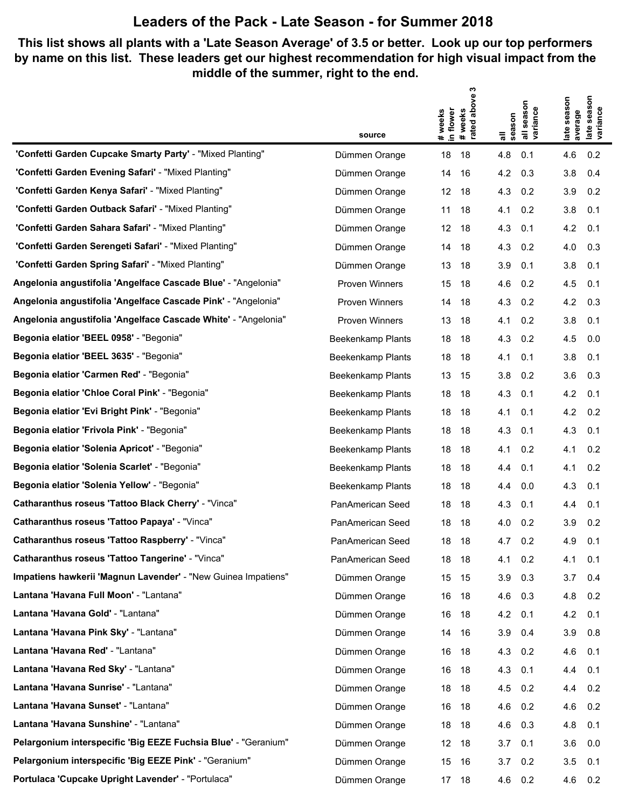## **Leaders of the Pack - Late Season - for Summer 2018**

## **This list shows all plants with a 'Late Season Average' of 3.5 or better. Look up our top performers by name on this list. These leaders get our highest recommendation for high visual impact from the middle of the summer, right to the end.**

|                                                                |                       | ო                                                    |                                  |                                                |
|----------------------------------------------------------------|-----------------------|------------------------------------------------------|----------------------------------|------------------------------------------------|
|                                                                |                       | above<br># weeks<br>in flower<br>#weeks<br>rated abo | season<br>all seasor<br>variance | season<br>late season<br>late seas<br>variance |
|                                                                | source                |                                                      | season                           | average                                        |
| "Confetti Garden Cupcake Smarty Party' - "Mixed Planting"      | Dümmen Orange         | 18<br>18                                             | 4.8<br>0.1                       | 4.6<br>0.2                                     |
| "Confetti Garden Evening Safari" - "Mixed Planting"            | Dümmen Orange         | 14<br>16                                             | 0.3<br>4.2                       | 0.4<br>3.8                                     |
| 'Confetti Garden Kenya Safari' - "Mixed Planting"              | Dümmen Orange         | 12<br>18                                             | 0.2<br>4.3                       | 0.2<br>3.9                                     |
| 'Confetti Garden Outback Safari' - "Mixed Planting"            | Dümmen Orange         | 11<br>18                                             | 0.2<br>4.1                       | 3.8<br>0.1                                     |
| 'Confetti Garden Sahara Safari' - "Mixed Planting"             | Dümmen Orange         | 12<br>18                                             | 4.3<br>0.1                       | 4.2<br>0.1                                     |
| "Confetti Garden Serengeti Safari" - "Mixed Planting"          | Dümmen Orange         | 18<br>14                                             | 0.2<br>4.3                       | 0.3<br>4.0                                     |
| "Confetti Garden Spring Safari" - "Mixed Planting"             | Dümmen Orange         | 13<br>18                                             | 0.1<br>3.9                       | 3.8<br>0.1                                     |
| Angelonia angustifolia 'Angelface Cascade Blue' - "Angelonia"  | <b>Proven Winners</b> | 15<br>18                                             | 0.2<br>4.6                       | 4.5<br>0.1                                     |
| Angelonia angustifolia 'Angelface Cascade Pink' - "Angelonia"  | Proven Winners        | 18<br>14                                             | 4.3<br>0.2                       | 4.2<br>0.3                                     |
| Angelonia angustifolia 'Angelface Cascade White' - "Angelonia" | Proven Winners        | 13<br>18                                             | 0.2<br>4.1                       | 3.8<br>0.1                                     |
| Begonia elatior 'BEEL 0958' - "Begonia"                        | Beekenkamp Plants     | 18<br>18                                             | 4.3<br>0.2                       | 4.5<br>0.0                                     |
| Begonia elatior 'BEEL 3635' - "Begonia"                        | Beekenkamp Plants     | 18<br>18                                             | 0.1<br>4.1                       | 3.8<br>0.1                                     |
| Begonia elatior 'Carmen Red' - "Begonia"                       | Beekenkamp Plants     | 13<br>15                                             | 0.2<br>3.8                       | 3.6<br>0.3                                     |
| Begonia elatior 'Chloe Coral Pink' - "Begonia"                 | Beekenkamp Plants     | 18<br>18                                             | 4.3<br>0.1                       | 4.2<br>0.1                                     |
| Begonia elatior 'Evi Bright Pink' - "Begonia"                  | Beekenkamp Plants     | 18<br>18                                             | 4.1<br>0.1                       | 4.2<br>0.2                                     |
| Begonia elatior 'Frivola Pink' - "Begonia"                     | Beekenkamp Plants     | 18<br>18                                             | 0.1<br>4.3                       | 4.3<br>0.1                                     |
| Begonia elatior 'Solenia Apricot' - "Begonia"                  | Beekenkamp Plants     | 18<br>18                                             | 0.2<br>4.1                       | 0.2<br>4.1                                     |
| Begonia elatior 'Solenia Scarlet' - "Begonia"                  | Beekenkamp Plants     | 18<br>18                                             | 0.1<br>4.4                       | 0.2<br>4.1                                     |
| Begonia elatior 'Solenia Yellow' - "Begonia"                   | Beekenkamp Plants     | 18<br>18                                             | 0.0<br>4.4                       | 4.3<br>0.1                                     |
| Catharanthus roseus 'Tattoo Black Cherry' - "Vinca"            | PanAmerican Seed      | 18<br>18                                             | 4.3<br>0.1                       | 0.1<br>4.4                                     |
| Catharanthus roseus 'Tattoo Papaya' - "Vinca"                  | PanAmerican Seed      | 18<br>18                                             | 0.2<br>4.0                       | 0.2<br>3.9                                     |
| Catharanthus roseus 'Tattoo Raspberry' - "Vinca"               | PanAmerican Seed      | 18<br>18                                             | 4.7<br>0.2                       | 4.9<br>0.1                                     |
| Catharanthus roseus 'Tattoo Tangerine' - "Vinca"               | PanAmerican Seed      | 18<br>- 18                                           | 0.2<br>4.1                       | 0.1<br>4.1                                     |
| Impatiens hawkerii 'Magnun Lavender' - "New Guinea Impatiens"  | Dümmen Orange         | 15<br>15                                             | 0.3<br>3.9                       | 3.7<br>0.4                                     |
| Lantana 'Havana Full Moon' - "Lantana"                         | Dümmen Orange         | 16<br>18                                             | 0.3<br>4.6                       | 0.2<br>4.8                                     |
| Lantana 'Havana Gold' - "Lantana"                              | Dümmen Orange         | 18<br>16                                             | 4.2<br>0.1                       | 0.1<br>4.2                                     |
| Lantana 'Havana Pink Sky' - "Lantana"                          | Dümmen Orange         | 16<br>14                                             | 0.4<br>3.9                       | 3.9<br>0.8                                     |
| Lantana 'Havana Red' - "Lantana"                               | Dümmen Orange         | 16<br>18                                             | 0.2<br>4.3                       | 4.6<br>0.1                                     |
| Lantana 'Havana Red Sky' - "Lantana"                           | Dümmen Orange         | 18<br>16                                             | 4.3<br>0.1                       | 0.1<br>4.4                                     |
| Lantana 'Havana Sunrise' - "Lantana"                           | Dümmen Orange         | 18<br>18                                             | 4.5<br>0.2                       | 0.2<br>4.4                                     |
| Lantana 'Havana Sunset' - "Lantana"                            | Dümmen Orange         | 16<br>18                                             | 0.2<br>4.6                       | 0.2<br>4.6                                     |
| Lantana 'Havana Sunshine' - "Lantana"                          | Dümmen Orange         | 18<br>18                                             | 0.3<br>4.6                       | 0.1<br>4.8                                     |
| Pelargonium interspecific 'Big EEZE Fuchsia Blue' - "Geranium" | Dümmen Orange         | 12<br>18                                             | 0.1<br>3.7                       | 0.0<br>3.6                                     |
| Pelargonium interspecific 'Big EEZE Pink' - "Geranium"         | Dümmen Orange         | 15<br>-16                                            | 0.2<br>3.7                       | 3.5<br>0.1                                     |
| Portulaca 'Cupcake Upright Lavender' - "Portulaca"             | Dümmen Orange         | 17 18                                                | 4.6<br>0.2                       | 4.6<br>0.2                                     |